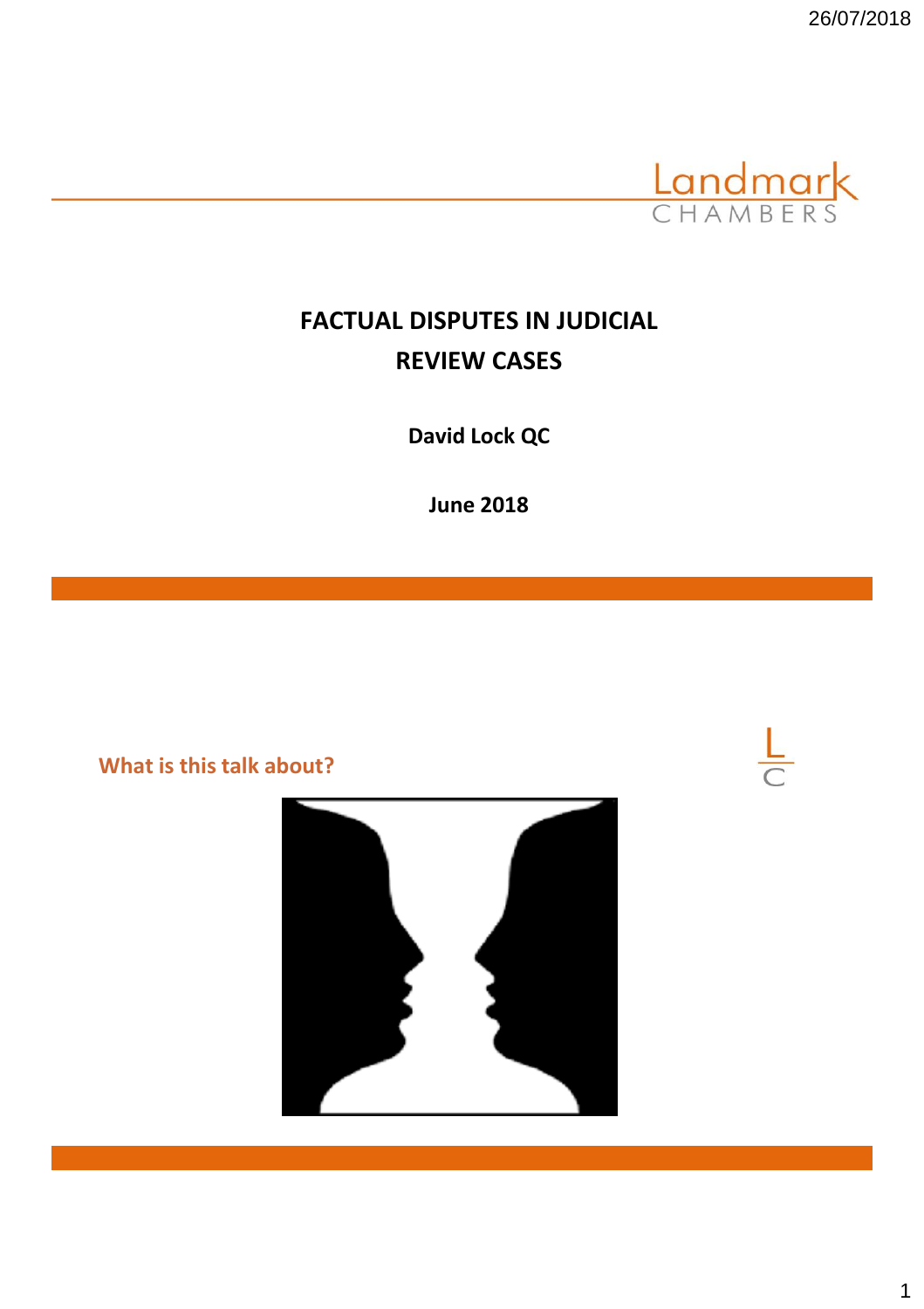

 $\frac{L}{C}$ 

# **FACTUAL DISPUTES IN JUDICIAL REVIEW CASES**

**David Lock QC**

**June 2018**

**What is this talk about?**

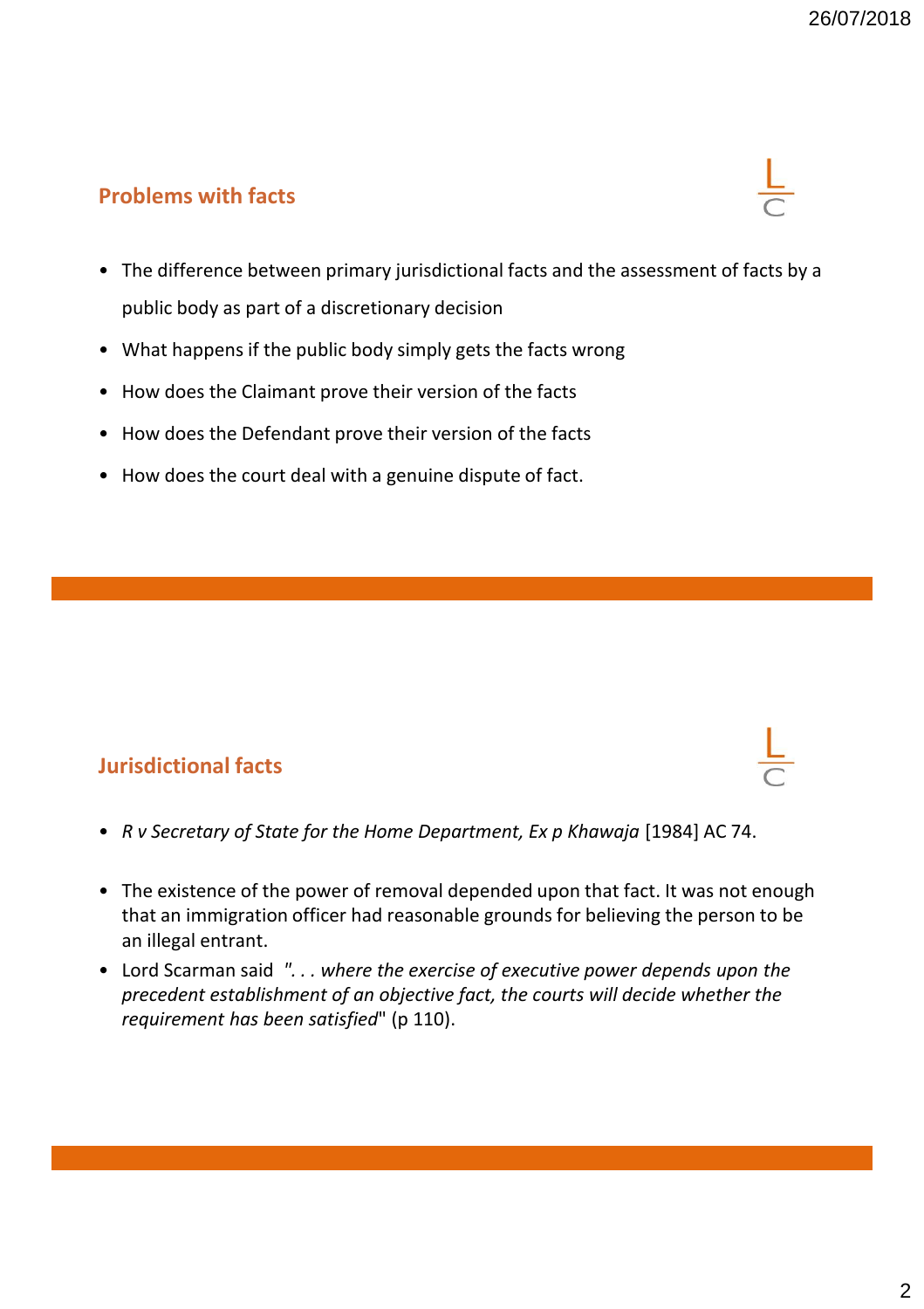### **Problems with facts**

- The difference between primary jurisdictional facts and the assessment of facts by a public body as part of a discretionary decision
- What happens if the public body simply gets the facts wrong
- How does the Claimant prove their version of the facts
- How does the Defendant prove their version of the facts
- How does the court deal with a genuine dispute of fact.

#### **Jurisdictional facts**

- *R v Secretary of State for the Home Department, Ex p Khawaja* [1984] AC 74.
- The existence of the power of removal depended upon that fact. It was not enough that an immigration officer had reasonable grounds for believing the person to be an illegal entrant.
- Lord Scarman said *". . . where the exercise of executive power depends upon the precedent establishment of an objective fact, the courts will decide whether the requirement has been satisfied*" (p 110).

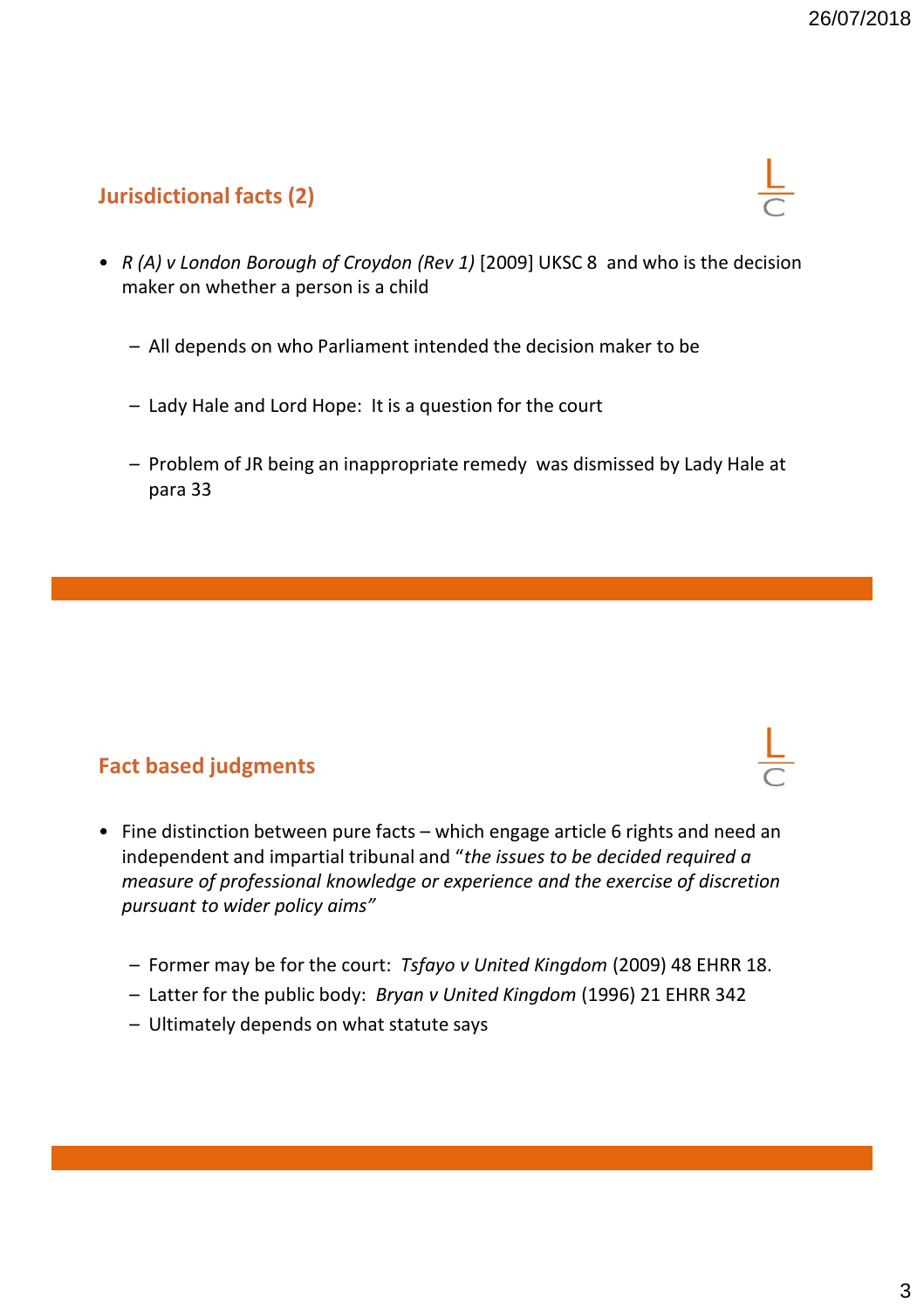## **Jurisdictional facts (2)**

- *R (A) v London Borough of Croydon (Rev 1)* [2009] UKSC 8 and who is the decision maker on whether a person is a child
	- All depends on who Parliament intended the decision maker to be
	- Lady Hale and Lord Hope: It is a question for the court
	- Problem of JR being an inappropriate remedy was dismissed by Lady Hale at para 33

#### **Fact based judgments**

- Fine distinction between pure facts which engage article 6 rights and need an independent and impartial tribunal and "*the issues to be decided required a measure of professional knowledge or experience and the exercise of discretion pursuant to wider policy aims"*
	- Former may be for the court: *Tsfayo v United Kingdom* (2009) 48 EHRR 18.
	- Latter for the public body: *Bryan v United Kingdom* (1996) 21 EHRR 342
	- Ultimately depends on what statute says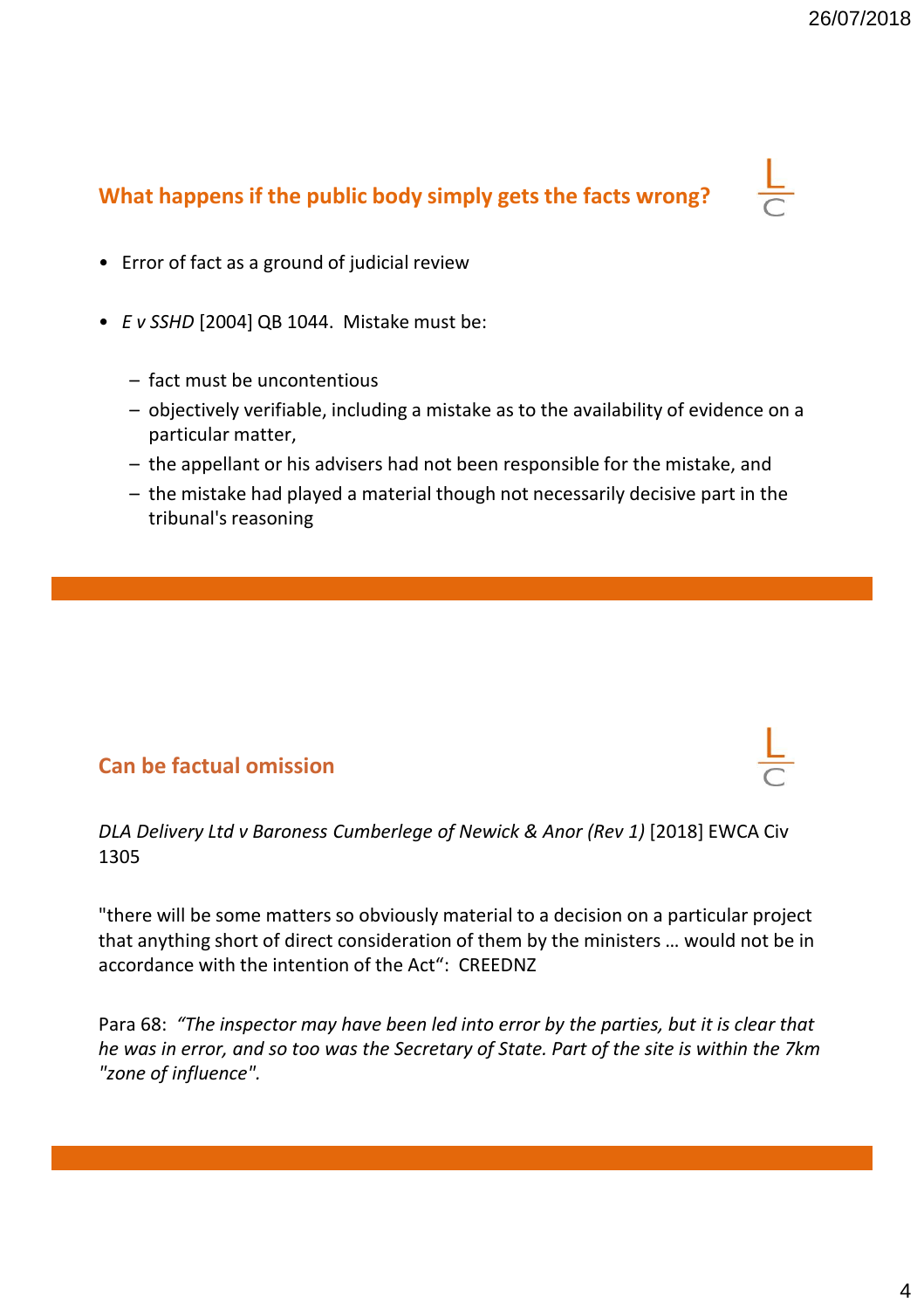# **What happens if the public body simply gets the facts wrong?**



- Error of fact as a ground of judicial review
- *E v SSHD* [2004] QB 1044. Mistake must be:
	- fact must be uncontentious
	- objectively verifiable, including a mistake as to the availability of evidence on a particular matter,
	- the appellant or his advisers had not been responsible for the mistake, and
	- the mistake had played a material though not necessarily decisive part in the tribunal's reasoning

#### **Can be factual omission**

*DLA Delivery Ltd v Baroness Cumberlege of Newick & Anor (Rev 1)* [2018] EWCA Civ 1305

"there will be some matters so obviously material to a decision on a particular project that anything short of direct consideration of them by the ministers … would not be in accordance with the intention of the Act": CREEDNZ

Para 68: *"The inspector may have been led into error by the parties, but it is clear that he was in error, and so too was the Secretary of State. Part of the site is within the 7km "zone of influence".*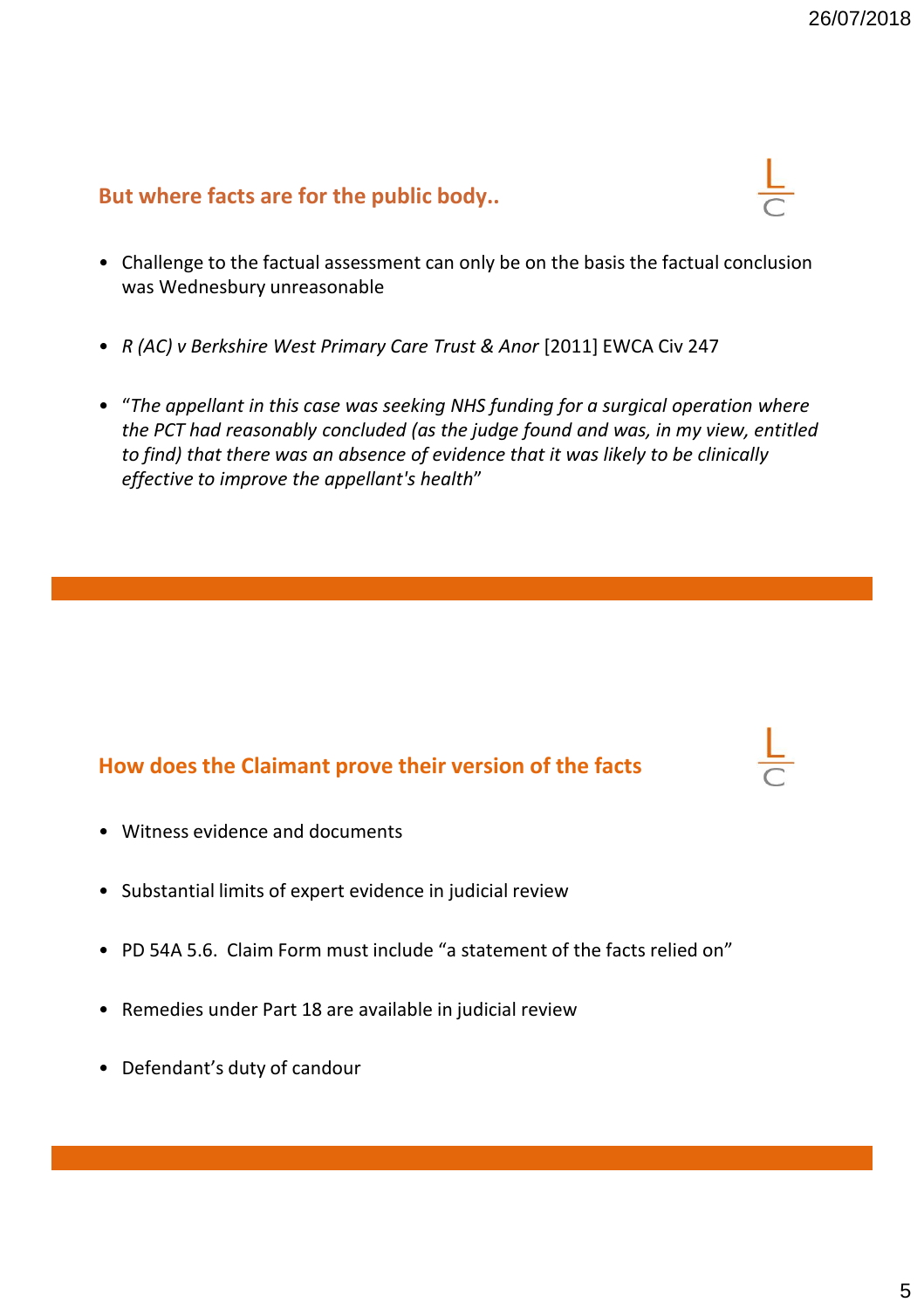#### **But where facts are for the public body..**

- Challenge to the factual assessment can only be on the basis the factual conclusion was Wednesbury unreasonable
- *R (AC) v Berkshire West Primary Care Trust & Anor* [2011] EWCA Civ 247
- "*The appellant in this case was seeking NHS funding for a surgical operation where the PCT had reasonably concluded (as the judge found and was, in my view, entitled to find) that there was an absence of evidence that it was likely to be clinically effective to improve the appellant's health*"

#### **How does the Claimant prove their version of the facts**

- Witness evidence and documents
- Substantial limits of expert evidence in judicial review
- PD 54A 5.6. Claim Form must include "a statement of the facts relied on"
- Remedies under Part 18 are available in judicial review
- Defendant's duty of candour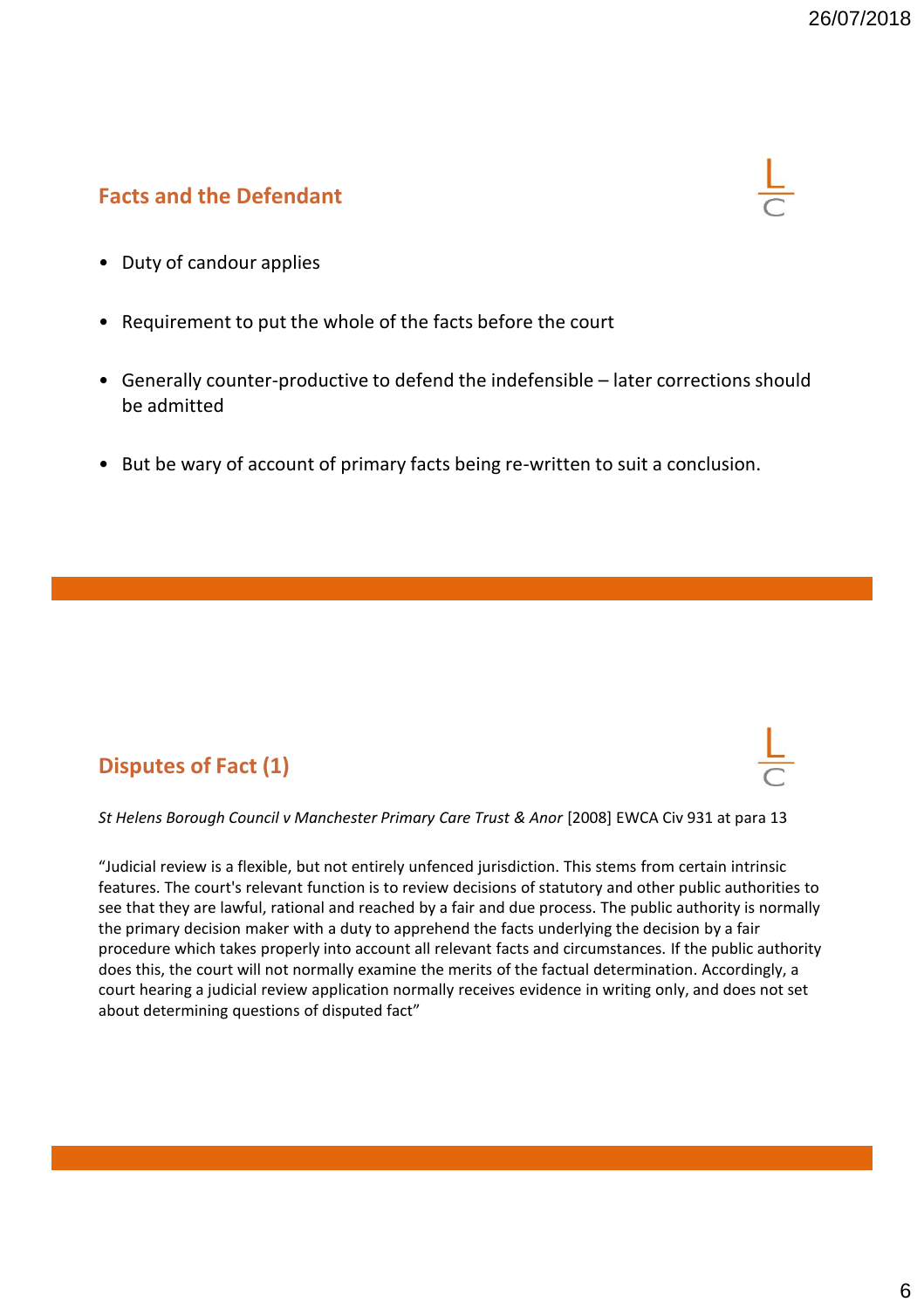### **Facts and the Defendant**



- Duty of candour applies
- Requirement to put the whole of the facts before the court
- Generally counter-productive to defend the indefensible later corrections should be admitted
- But be wary of account of primary facts being re-written to suit a conclusion.

# **Disputes of Fact (1)**

*St Helens Borough Council v Manchester Primary Care Trust & Anor* [2008] EWCA Civ 931 at para 13

"Judicial review is a flexible, but not entirely unfenced jurisdiction. This stems from certain intrinsic features. The court's relevant function is to review decisions of statutory and other public authorities to see that they are lawful, rational and reached by a fair and due process. The public authority is normally the primary decision maker with a duty to apprehend the facts underlying the decision by a fair procedure which takes properly into account all relevant facts and circumstances. If the public authority does this, the court will not normally examine the merits of the factual determination. Accordingly, a court hearing a judicial review application normally receives evidence in writing only, and does not set about determining questions of disputed fact"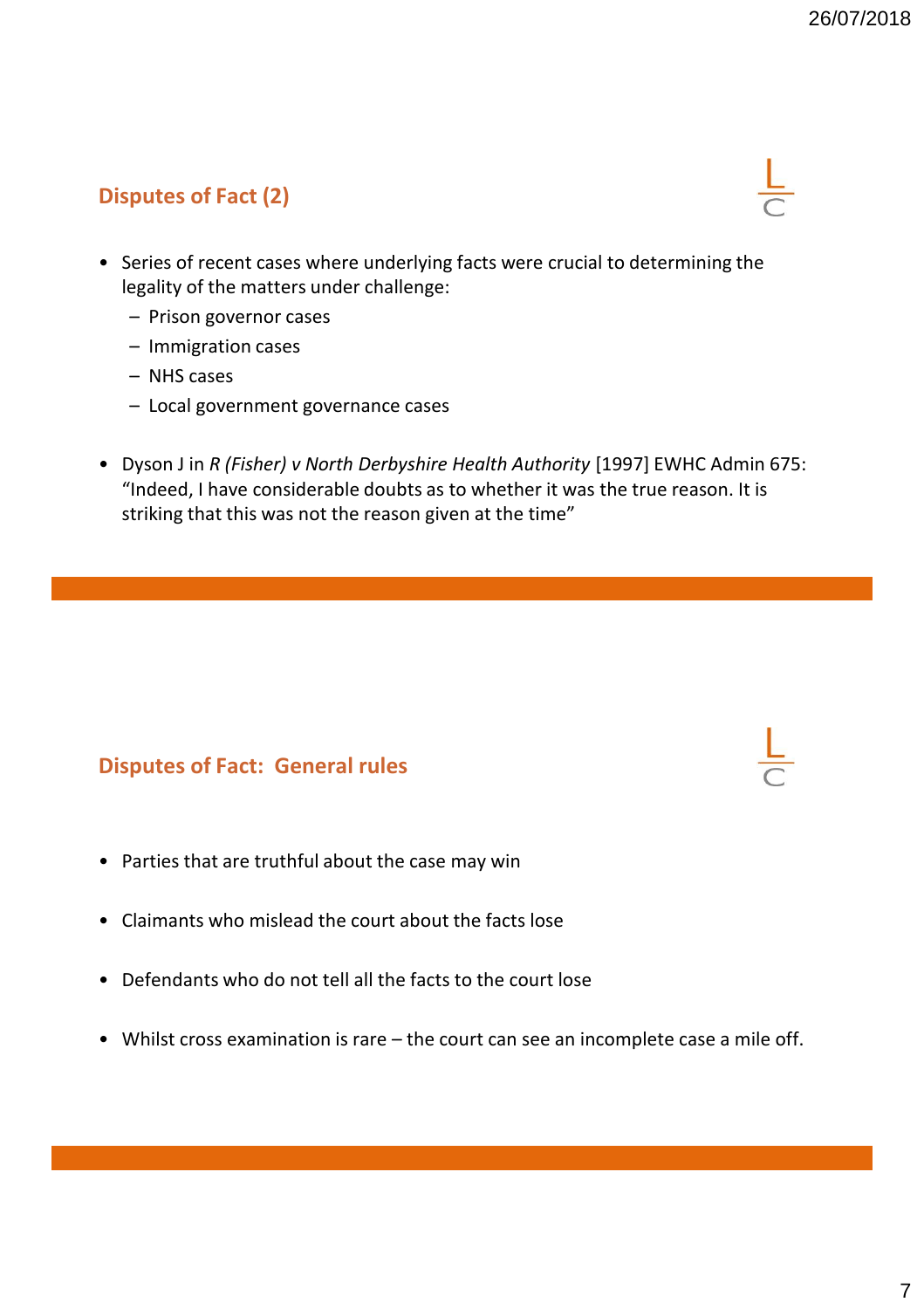# **Disputes of Fact (2)**

- Series of recent cases where underlying facts were crucial to determining the legality of the matters under challenge:
	- Prison governor cases
	- Immigration cases
	- NHS cases
	- Local government governance cases
- Dyson J in *R (Fisher) v North Derbyshire Health Authority* [1997] EWHC Admin 675: "Indeed, I have considerable doubts as to whether it was the true reason. It is striking that this was not the reason given at the time"

#### **Disputes of Fact: General rules**

- Parties that are truthful about the case may win
- Claimants who mislead the court about the facts lose
- Defendants who do not tell all the facts to the court lose
- Whilst cross examination is rare the court can see an incomplete case a mile off.